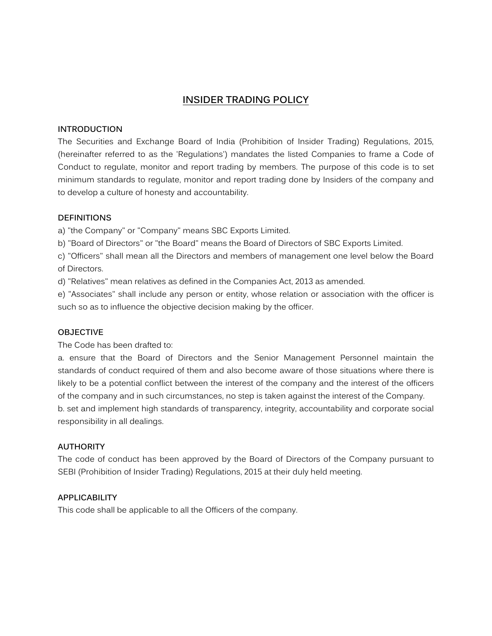# **INSIDER TRADING POLICY**

### **INTRODUCTION**

The Securities and Exchange Board of India (Prohibition of Insider Trading) Regulations, 2015, (hereinafter referred to as the 'Regulations') mandates the listed Companies to frame a Code of Conduct to regulate, monitor and report trading by members. The purpose of this code is to set minimum standards to regulate, monitor and report trading done by Insiders of the company and to develop a culture of honesty and accountability.

### **DEFINITIONS**

a) "the Company" or "Company" means SBC Exports Limited.

b) "Board of Directors" or "the Board" means the Board of Directors of SBC Exports Limited.

c) "Officers" shall mean all the Directors and members of management one level below the Board of Directors.

d) "Relatives" mean relatives as defined in the Companies Act, 2013 as amended.

e) "Associates" shall include any person or entity, whose relation or association with the officer is such so as to influence the objective decision making by the officer.

### **OBJECTIVE**

The Code has been drafted to:

a. ensure that the Board of Directors and the Senior Management Personnel maintain the standards of conduct required of them and also become aware of those situations where there is likely to be a potential conflict between the interest of the company and the interest of the officers of the company and in such circumstances, no step is taken against the interest of the Company. b. set and implement high standards of transparency, integrity, accountability and corporate social responsibility in all dealings.

#### **AUTHORITY**

The code of conduct has been approved by the Board of Directors of the Company pursuant to SEBI (Prohibition of Insider Trading) Regulations, 2015 at their duly held meeting.

### **APPLICABILITY**

This code shall be applicable to all the Officers of the company.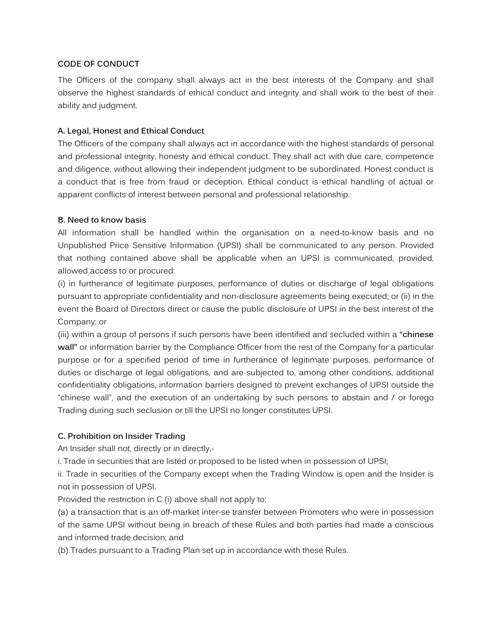# **CODE OF CONDUCT**

The Officers of the company shall always act in the best interests of the Company and shall observe the highest standards of ethical conduct and integrity and shall work to the best of their ability and judgment.

### **A. Legal, Honest and Ethical Conduct**

The Officers of the company shall always act in accordance with the highest standards of personal and professional integrity, honesty and ethical conduct. They shall act with due care, competence and diligence, without allowing their independent judgment to be subordinated. Honest conduct is a conduct that is free from fraud or deception. Ethical conduct is ethical handling of actual or apparent conflicts of interest between personal and professional relationship.

### **B. Need to know basis**

All information shall be handled within the organisation on a need-to-know basis and no Unpublished Price Sensitive Information (UPSI) shall be communicated to any person. Provided that nothing contained above shall be applicable when an UPSI is communicated, provided, allowed access to or procured:

(i) in furtherance of legitimate purposes, performance of duties or discharge of legal obligations pursuant to appropriate confidentiality and non-disclosure agreements being executed; or (ii) in the event the Board of Directors direct or cause the public disclosure of UPSI in the best interest of the Company; or

(iii) within a group of persons if such persons have been identified and secluded within a **"chinese wall"** or information barrier by the Compliance Officer from the rest of the Company for a particular purpose or for a specified period of time in furtherance of legitimate purposes, performance of duties or discharge of legal obligations, and are subjected to, among other conditions, additional confidentiality obligations, information barriers designed to prevent exchanges of UPSI outside the "chinese wall", and the execution of an undertaking by such persons to abstain and / or forego Trading during such seclusion or till the UPSI no longer constitutes UPSI.

# **C. Prohibition on Insider Trading**

An Insider shall not, directly or in directly,-

i. Trade in securities that are listed or proposed to be listed when in possession of UPSI;

ii. Trade in securities of the Company except when the Trading Window is open and the Insider is not in possession of UPSI.

Provided the restriction in C (i) above shall not apply to:

(a) a transaction that is an off-market inter-se transfer between Promoters who were in possession of the same UPSI without being in breach of these Rules and both parties had made a conscious and informed trade decision; and

(b) Trades pursuant to a Trading Plan set up in accordance with these Rules.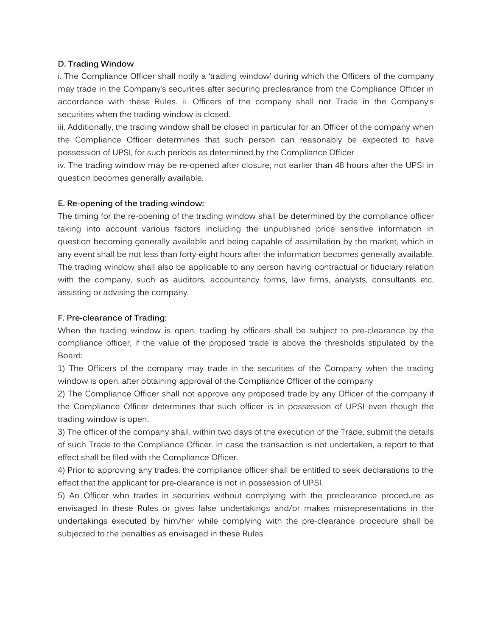### **D. Trading Window**

i. The Compliance Officer shall notify a 'trading window' during which the Officers of the company may trade in the Company's securities after securing preclearance from the Compliance Officer in accordance with these Rules. ii. Officers of the company shall not Trade in the Company's securities when the trading window is closed.

iii. Additionally, the trading window shall be closed in particular for an Officer of the company when the Compliance Officer determines that such person can reasonably be expected to have possession of UPSI, for such periods as determined by the Compliance Officer

iv. The trading window may be re-opened after closure, not earlier than 48 hours after the UPSI in question becomes generally available.

# **E. Re-opening of the trading window:**

The timing for the re-opening of the trading window shall be determined by the compliance officer taking into account various factors including the unpublished price sensitive information in question becoming generally available and being capable of assimilation by the market, which in any event shall be not less than forty-eight hours after the information becomes generally available. The trading window shall also be applicable to any person having contractual or fiduciary relation with the company, such as auditors, accountancy forms, law firms, analysts, consultants etc, assisting or advising the company.

### **F. Pre-clearance of Trading:**

When the trading window is open, trading by officers shall be subject to pre-clearance by the compliance officer, if the value of the proposed trade is above the thresholds stipulated by the Board:

1) The Officers of the company may trade in the securities of the Company when the trading window is open, after obtaining approval of the Compliance Officer of the company

2) The Compliance Officer shall not approve any proposed trade by any Officer of the company if the Compliance Officer determines that such officer is in possession of UPSI even though the trading window is open.

3) The officer of the company shall, within two days of the execution of the Trade, submit the details of such Trade to the Compliance Officer. In case the transaction is not undertaken, a report to that effect shall be filed with the Compliance Officer.

4) Prior to approving any trades, the compliance officer shall be entitled to seek declarations to the effect that the applicant for pre-clearance is not in possession of UPSI.

5) An Officer who trades in securities without complying with the preclearance procedure as envisaged in these Rules or gives false undertakings and/or makes misrepresentations in the undertakings executed by him/her while complying with the pre-clearance procedure shall be subjected to the penalties as envisaged in these Rules.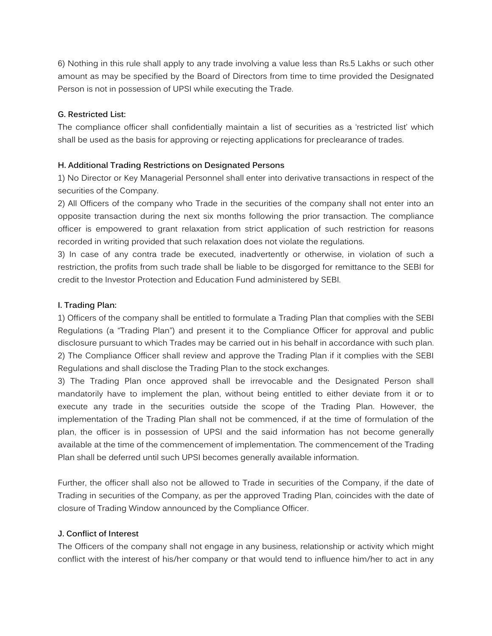6) Nothing in this rule shall apply to any trade involving a value less than Rs.5 Lakhs or such other amount as may be specified by the Board of Directors from time to time provided the Designated Person is not in possession of UPSI while executing the Trade.

### **G. Restricted List:**

The compliance officer shall confidentially maintain a list of securities as a 'restricted list' which shall be used as the basis for approving or rejecting applications for preclearance of trades.

### **H. Additional Trading Restrictions on Designated Persons**

1) No Director or Key Managerial Personnel shall enter into derivative transactions in respect of the securities of the Company.

2) All Officers of the company who Trade in the securities of the company shall not enter into an opposite transaction during the next six months following the prior transaction. The compliance officer is empowered to grant relaxation from strict application of such restriction for reasons recorded in writing provided that such relaxation does not violate the regulations.

3) In case of any contra trade be executed, inadvertently or otherwise, in violation of such a restriction, the profits from such trade shall be liable to be disgorged for remittance to the SEBI for credit to the Investor Protection and Education Fund administered by SEBI.

### **I. Trading Plan:**

1) Officers of the company shall be entitled to formulate a Trading Plan that complies with the SEBI Regulations (a "Trading Plan") and present it to the Compliance Officer for approval and public disclosure pursuant to which Trades may be carried out in his behalf in accordance with such plan. 2) The Compliance Officer shall review and approve the Trading Plan if it complies with the SEBI Regulations and shall disclose the Trading Plan to the stock exchanges.

3) The Trading Plan once approved shall be irrevocable and the Designated Person shall mandatorily have to implement the plan, without being entitled to either deviate from it or to execute any trade in the securities outside the scope of the Trading Plan. However, the implementation of the Trading Plan shall not be commenced, if at the time of formulation of the plan, the officer is in possession of UPSI and the said information has not become generally available at the time of the commencement of implementation. The commencement of the Trading Plan shall be deferred until such UPSI becomes generally available information.

Further, the officer shall also not be allowed to Trade in securities of the Company, if the date of Trading in securities of the Company, as per the approved Trading Plan, coincides with the date of closure of Trading Window announced by the Compliance Officer.

### **J. Conflict of Interest**

The Officers of the company shall not engage in any business, relationship or activity which might conflict with the interest of his/her company or that would tend to influence him/her to act in any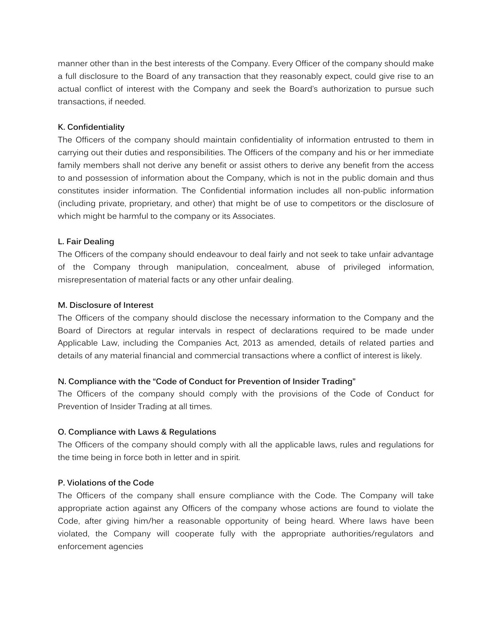manner other than in the best interests of the Company. Every Officer of the company should make a full disclosure to the Board of any transaction that they reasonably expect, could give rise to an actual conflict of interest with the Company and seek the Board's authorization to pursue such transactions, if needed.

### **K. Confidentiality**

The Officers of the company should maintain confidentiality of information entrusted to them in carrying out their duties and responsibilities. The Officers of the company and his or her immediate family members shall not derive any benefit or assist others to derive any benefit from the access to and possession of information about the Company, which is not in the public domain and thus constitutes insider information. The Confidential information includes all non-public information (including private, proprietary, and other) that might be of use to competitors or the disclosure of which might be harmful to the company or its Associates.

### **L. Fair Dealing**

The Officers of the company should endeavour to deal fairly and not seek to take unfair advantage of the Company through manipulation, concealment, abuse of privileged information, misrepresentation of material facts or any other unfair dealing.

### **M. Disclosure of Interest**

The Officers of the company should disclose the necessary information to the Company and the Board of Directors at regular intervals in respect of declarations required to be made under Applicable Law, including the Companies Act, 2013 as amended, details of related parties and details of any material financial and commercial transactions where a conflict of interest is likely.

# **N. Compliance with the "Code of Conduct for Prevention of Insider Trading"**

The Officers of the company should comply with the provisions of the Code of Conduct for Prevention of Insider Trading at all times.

### **O. Compliance with Laws & Regulations**

The Officers of the company should comply with all the applicable laws, rules and regulations for the time being in force both in letter and in spirit.

### **P. Violations of the Code**

The Officers of the company shall ensure compliance with the Code. The Company will take appropriate action against any Officers of the company whose actions are found to violate the Code, after giving him/her a reasonable opportunity of being heard. Where laws have been violated, the Company will cooperate fully with the appropriate authorities/regulators and enforcement agencies